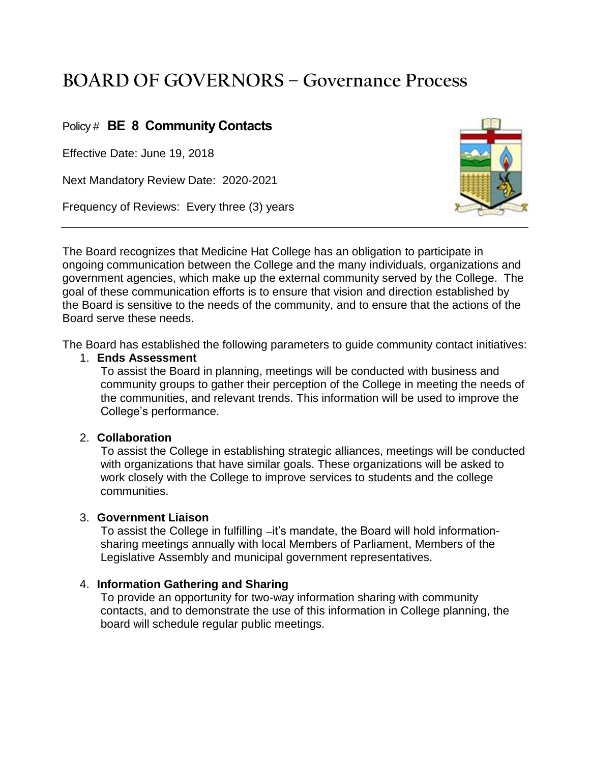# **BOARD OF GOVERNORS – Governance Process**

## Policy # **BE 8 Community Contacts**

Effective Date: June 19, 2018

Next Mandatory Review Date: 2020-2021

Frequency of Reviews: Every three (3) years



The Board recognizes that Medicine Hat College has an obligation to participate in ongoing communication between the College and the many individuals, organizations and government agencies, which make up the external community served by the College. The goal of these communication efforts is to ensure that vision and direction established by the Board is sensitive to the needs of the community, and to ensure that the actions of the Board serve these needs.

The Board has established the following parameters to guide community contact initiatives:

#### 1. **Ends Assessment**

To assist the Board in planning, meetings will be conducted with business and community groups to gather their perception of the College in meeting the needs of the communities, and relevant trends. This information will be used to improve the College's performance.

#### 2. **Collaboration**

To assist the College in establishing strategic alliances, meetings will be conducted with organizations that have similar goals. These organizations will be asked to work closely with the College to improve services to students and the college communities.

#### 3. **Government Liaison**

To assist the College in fulfilling -it's mandate, the Board will hold informationsharing meetings annually with local Members of Parliament, Members of the Legislative Assembly and municipal government representatives.

### 4. **Information Gathering and Sharing**

To provide an opportunity for two-way information sharing with community contacts, and to demonstrate the use of this information in College planning, the board will schedule regular public meetings.